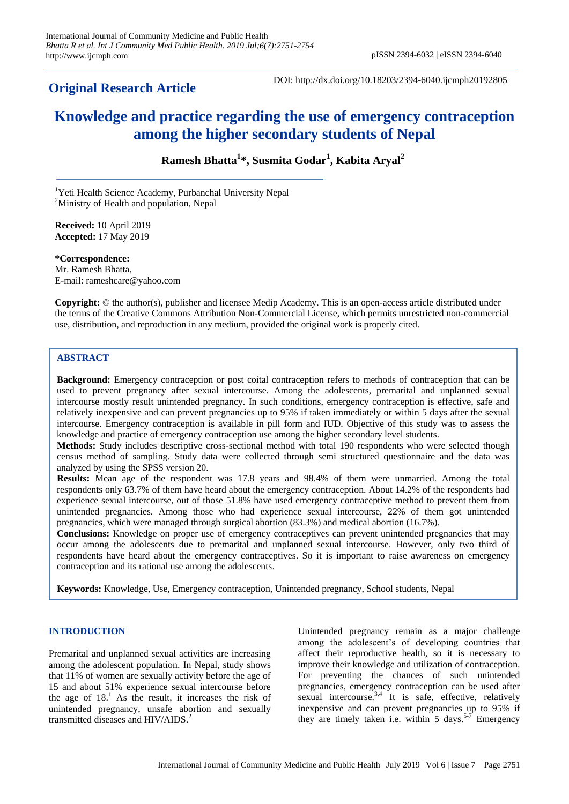# **Original Research Article**

DOI: http://dx.doi.org/10.18203/2394-6040.ijcmph20192805

# **Knowledge and practice regarding the use of emergency contraception among the higher secondary students of Nepal**

**Ramesh Bhatta<sup>1</sup> \*, Susmita Godar<sup>1</sup> , Kabita Aryal<sup>2</sup>**

<sup>1</sup>Yeti Health Science Academy, Purbanchal University Nepal <sup>2</sup>Ministry of Health and population, Nepal

**Received:** 10 April 2019 **Accepted:** 17 May 2019

**\*Correspondence:** Mr. Ramesh Bhatta, E-mail: rameshcare@yahoo.com

**Copyright:** © the author(s), publisher and licensee Medip Academy. This is an open-access article distributed under the terms of the Creative Commons Attribution Non-Commercial License, which permits unrestricted non-commercial use, distribution, and reproduction in any medium, provided the original work is properly cited.

# **ABSTRACT**

**Background:** Emergency contraception or post coital contraception refers to methods of contraception that can be used to prevent pregnancy after sexual intercourse. Among the adolescents, premarital and unplanned sexual intercourse mostly result unintended pregnancy. In such conditions, emergency contraception is effective, safe and relatively inexpensive and can prevent pregnancies up to 95% if taken immediately or within 5 days after the sexual intercourse. Emergency contraception is available in pill form and IUD. Objective of this study was to assess the knowledge and practice of emergency contraception use among the higher secondary level students.

**Methods:** Study includes descriptive cross-sectional method with total 190 respondents who were selected though census method of sampling. Study data were collected through semi structured questionnaire and the data was analyzed by using the SPSS version 20.

**Results:** Mean age of the respondent was 17.8 years and 98.4% of them were unmarried. Among the total respondents only 63.7% of them have heard about the emergency contraception. About 14.2% of the respondents had experience sexual intercourse, out of those 51.8% have used emergency contraceptive method to prevent them from unintended pregnancies. Among those who had experience sexual intercourse, 22% of them got unintended pregnancies, which were managed through surgical abortion (83.3%) and medical abortion (16.7%).

**Conclusions:** Knowledge on proper use of emergency contraceptives can prevent unintended pregnancies that may occur among the adolescents due to premarital and unplanned sexual intercourse. However, only two third of respondents have heard about the emergency contraceptives. So it is important to raise awareness on emergency contraception and its rational use among the adolescents.

**Keywords:** Knowledge, Use, Emergency contraception, Unintended pregnancy, School students, Nepal

# **INTRODUCTION**

Premarital and unplanned sexual activities are increasing among the adolescent population. In Nepal, study shows that 11% of women are sexually activity before the age of 15 and about 51% experience sexual intercourse before the age of  $18<sup>1</sup>$ . As the result, it increases the risk of unintended pregnancy, unsafe abortion and sexually transmitted diseases and HIV/AIDS. 2

Unintended pregnancy remain as a major challenge among the adolescent's of developing countries that affect their reproductive health, so it is necessary to improve their knowledge and utilization of contraception. For preventing the chances of such unintended pregnancies, emergency contraception can be used after sexual intercourse.<sup>3,4</sup> It is safe, effective, relatively inexpensive and can prevent pregnancies up to 95% if they are timely taken i.e. within 5 days.<sup>5-7</sup> Emergency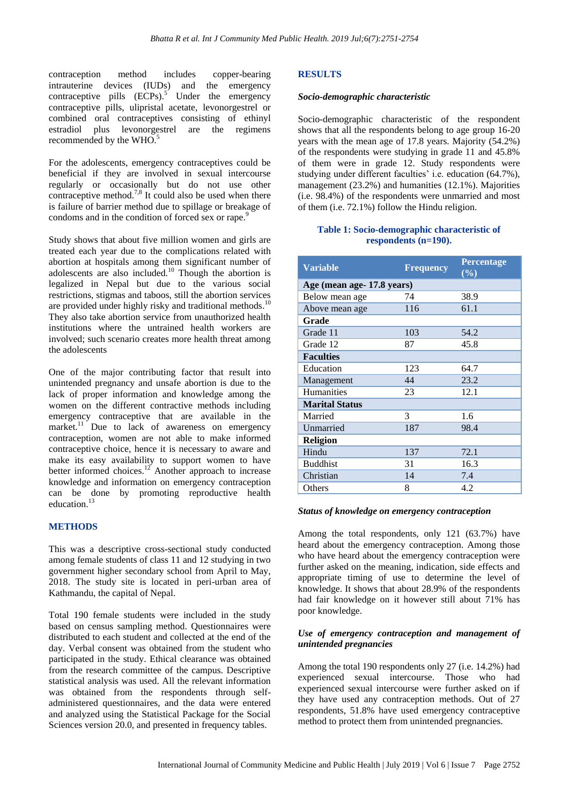contraception method includes copper-bearing intrauterine devices (IUDs) and the emergency contraceptive pills (ECPs).<sup>5</sup> Under the emergency contraceptive pills, ulipristal acetate, levonorgestrel or combined oral contraceptives consisting of ethinyl estradiol plus levonorgestrel are the regimens recommended by the WHO.<sup>5</sup>

For the adolescents, emergency contraceptives could be beneficial if they are involved in sexual intercourse regularly or occasionally but do not use other contraceptive method.<sup>7,8</sup> It could also be used when there is failure of barrier method due to spillage or breakage of condoms and in the condition of forced sex or rape.<sup>9</sup>

Study shows that about five million women and girls are treated each year due to the complications related with abortion at hospitals among them significant number of adolescents are also included.<sup>10</sup> Though the abortion is legalized in Nepal but due to the various social restrictions, stigmas and taboos, still the abortion services are provided under highly risky and traditional methods.<sup>10</sup> They also take abortion service from unauthorized health institutions where the untrained health workers are involved; such scenario creates more health threat among the adolescents

One of the major contributing factor that result into unintended pregnancy and unsafe abortion is due to the lack of proper information and knowledge among the women on the different contractive methods including emergency contraceptive that are available in the market.<sup>11</sup> Due to lack of awareness on emergency contraception, women are not able to make informed contraceptive choice, hence it is necessary to aware and make its easy availability to support women to have better informed choices.<sup>12</sup> Another approach to increase knowledge and information on emergency contraception can be done by promoting reproductive health education.<sup>13</sup>

#### **METHODS**

This was a descriptive cross-sectional study conducted among female students of class 11 and 12 studying in two government higher secondary school from April to May, 2018. The study site is located in peri-urban area of Kathmandu, the capital of Nepal.

Total 190 female students were included in the study based on census sampling method. Questionnaires were distributed to each student and collected at the end of the day. Verbal consent was obtained from the student who participated in the study. Ethical clearance was obtained from the research committee of the campus. Descriptive statistical analysis was used. All the relevant information was obtained from the respondents through selfadministered questionnaires, and the data were entered and analyzed using the Statistical Package for the Social Sciences version 20.0, and presented in frequency tables.

#### **RESULTS**

#### *Socio-demographic characteristic*

Socio-demographic characteristic of the respondent shows that all the respondents belong to age group 16-20 years with the mean age of 17.8 years. Majority (54.2%) of the respondents were studying in grade 11 and 45.8% of them were in grade 12. Study respondents were studying under different faculties' i.e. education (64.7%), management (23.2%) and humanities (12.1%). Majorities (i.e. 98.4%) of the respondents were unmarried and most of them (i.e. 72.1%) follow the Hindu religion.

#### **Table 1: Socio-demographic characteristic of respondents (n=190).**

| <b>Variable</b>           | <b>Frequency</b> | <b>Percentage</b><br>(%) |
|---------------------------|------------------|--------------------------|
| Age (mean age-17.8 years) |                  |                          |
| Below mean age            | 74               | 38.9                     |
| Above mean age            | 116              | 61.1                     |
| Grade                     |                  |                          |
| Grade 11                  | 103              | 54.2                     |
| Grade 12                  | 87               | 45.8                     |
| <b>Faculties</b>          |                  |                          |
| Education                 | 123              | 64.7                     |
| Management                | 44               | 23.2                     |
| <b>Humanities</b>         | 23               | 12.1                     |
| <b>Marital Status</b>     |                  |                          |
| Married                   | 3                | 1.6                      |
| Unmarried                 | 187              | 98.4                     |
| <b>Religion</b>           |                  |                          |
| Hindu                     | 137              | 72.1                     |
| <b>Buddhist</b>           | 31               | 16.3                     |
| Christian                 | 14               | 7.4                      |
| Others                    | 8                | 4.2                      |

#### *Status of knowledge on emergency contraception*

Among the total respondents, only 121 (63.7%) have heard about the emergency contraception. Among those who have heard about the emergency contraception were further asked on the meaning, indication, side effects and appropriate timing of use to determine the level of knowledge. It shows that about 28.9% of the respondents had fair knowledge on it however still about 71% has poor knowledge.

## *Use of emergency contraception and management of unintended pregnancies*

Among the total 190 respondents only 27 (i.e. 14.2%) had experienced sexual intercourse. Those who had experienced sexual intercourse were further asked on if they have used any contraception methods. Out of 27 respondents, 51.8% have used emergency contraceptive method to protect them from unintended pregnancies.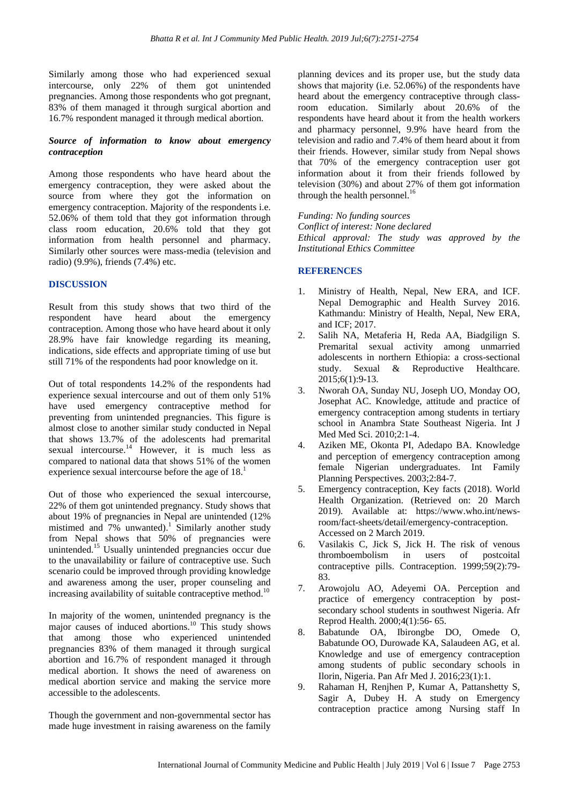Similarly among those who had experienced sexual intercourse, only 22% of them got unintended pregnancies. Among those respondents who got pregnant, 83% of them managed it through surgical abortion and 16.7% respondent managed it through medical abortion.

# *Source of information to know about emergency contraception*

Among those respondents who have heard about the emergency contraception, they were asked about the source from where they got the information on emergency contraception. Majority of the respondents i.e. 52.06% of them told that they got information through class room education, 20.6% told that they got information from health personnel and pharmacy. Similarly other sources were mass-media (television and radio) (9.9%), friends (7.4%) etc.

# **DISCUSSION**

Result from this study shows that two third of the respondent have heard about the emergency contraception. Among those who have heard about it only 28.9% have fair knowledge regarding its meaning, indications, side effects and appropriate timing of use but still 71% of the respondents had poor knowledge on it.

Out of total respondents 14.2% of the respondents had experience sexual intercourse and out of them only 51% have used emergency contraceptive method for preventing from unintended pregnancies. This figure is almost close to another similar study conducted in Nepal that shows 13.7% of the adolescents had premarital sexual intercourse.<sup>14</sup> However, it is much less as compared to national data that shows 51% of the women experience sexual intercourse before the age of 18.<sup>1</sup>

Out of those who experienced the sexual intercourse, 22% of them got unintended pregnancy. Study shows that about 19% of pregnancies in Nepal are unintended (12% mistimed and 7% unwanted).<sup>1</sup> Similarly another study from Nepal shows that 50% of pregnancies were unintended.<sup>15</sup> Usually unintended pregnancies occur due to the unavailability or failure of contraceptive use. Such scenario could be improved through providing knowledge and awareness among the user, proper counseling and increasing availability of suitable contraceptive method.<sup>10</sup>

In majority of the women, unintended pregnancy is the major causes of induced abortions. <sup>10</sup> This study shows that among those who experienced unintended pregnancies 83% of them managed it through surgical abortion and 16.7% of respondent managed it through medical abortion. It shows the need of awareness on medical abortion service and making the service more accessible to the adolescents.

Though the government and non-governmental sector has made huge investment in raising awareness on the family planning devices and its proper use, but the study data shows that majority (i.e. 52.06%) of the respondents have heard about the emergency contraceptive through classroom education. Similarly about 20.6% of the respondents have heard about it from the health workers and pharmacy personnel, 9.9% have heard from the television and radio and 7.4% of them heard about it from their friends. However, similar study from Nepal shows that 70% of the emergency contraception user got information about it from their friends followed by television (30%) and about 27% of them got information through the health personnel.<sup>16</sup>

*Funding: No funding sources Conflict of interest: None declared Ethical approval: The study was approved by the Institutional Ethics Committee*

### **REFERENCES**

- 1. Ministry of Health, Nepal, New ERA, and ICF. Nepal Demographic and Health Survey 2016. Kathmandu: Ministry of Health, Nepal, New ERA, and ICF; 2017.
- 2. Salih NA, Metaferia H, Reda AA, Biadgilign S. Premarital sexual activity among unmarried adolescents in northern Ethiopia: a cross-sectional study. Sexual & Reproductive Healthcare. 2015;6(1):9-13.
- 3. Nworah OA, Sunday NU, Joseph UO, Monday OO, Josephat AC. Knowledge, attitude and practice of emergency contraception among students in tertiary school in Anambra State Southeast Nigeria. Int J Med Med Sci. 2010;2:1-4.
- 4. Aziken ME, Okonta PI, Adedapo BA. Knowledge and perception of emergency contraception among female Nigerian undergraduates. Int Family Planning Perspectives. 2003;2:84-7.
- 5. Emergency contraception, Key facts (2018). World Health Organization. (Retrieved on: 20 March 2019). Available at: https://www.who.int/newsroom/fact-sheets/detail/emergency-contraception. Accessed on 2 March 2019.
- 6. Vasilakis C, Jick S, Jick H. The risk of venous thromboembolism in users of postcoital contraceptive pills. Contraception. 1999;59(2):79- 83.
- 7. Arowojolu AO, Adeyemi OA. Perception and practice of emergency contraception by postsecondary school students in southwest Nigeria. Afr Reprod Health. 2000;4(1):56- 65.
- 8. Babatunde OA, Ibirongbe DO, Omede O, Babatunde OO, Durowade KA, Salaudeen AG, et al. Knowledge and use of emergency contraception among students of public secondary schools in Ilorin, Nigeria. Pan Afr Med J. 2016;23(1):1.
- 9. Rahaman H, Renjhen P, Kumar A, Pattanshetty S, Sagir A, Dubey H. A study on Emergency contraception practice among Nursing staff In